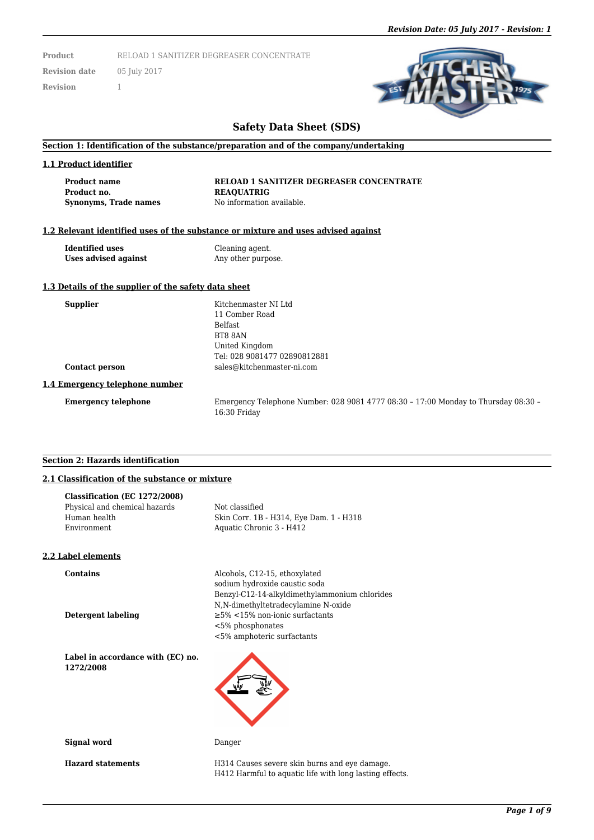**Product** RELOAD 1 SANITIZER DEGREASER CONCENTRATE

**Revision date** 05 July 2017 **Revision** 1

# **Safety Data Sheet (SDS)**

#### **Section 1: Identification of the substance/preparation and of the company/undertaking**

#### **1.1 Product identifier**

**Product no. REAQUATRIG Synonyms, Trade names** No information available.

**Product name RELOAD 1 SANITIZER DEGREASER CONCENTRATE**

#### **1.2 Relevant identified uses of the substance or mixture and uses advised against**

**Identified uses** Cleaning agent. **Uses advised against** Any other purpose.

#### **1.3 Details of the supplier of the safety data sheet**

| <b>Supplier</b>                | Kitchenmaster NI Ltd<br>11 Comber Road<br><b>Belfast</b><br>BT8 8AN<br>United Kingdom                |
|--------------------------------|------------------------------------------------------------------------------------------------------|
|                                | Tel: 028 9081477 02890812881                                                                         |
| <b>Contact person</b>          | sales@kitchenmaster-ni.com                                                                           |
| 1.4 Emergency telephone number |                                                                                                      |
| <b>Emergency telephone</b>     | Emergency Telephone Number: 028 9081 4777 08:30 - 17:00 Monday to Thursday 08:30 -<br>$16:30$ Friday |

#### **Section 2: Hazards identification**

# **2.1 Classification of the substance or mixture**

| Classification (EC 1272/2008) |                                         |
|-------------------------------|-----------------------------------------|
| Physical and chemical hazards | Not classified                          |
| Human health                  | Skin Corr. 1B - H314, Eye Dam. 1 - H318 |
| Environment                   | Aquatic Chronic 3 - H412                |
|                               |                                         |

#### **2.2 Label elements**

**Contains** Alcohols, C12-15, ethoxylated

sodium hydroxide caustic soda Benzyl-C12-14-alkyldimethylammonium chlorides N,N-dimethyltetradecylamine N-oxide **Detergent labeling** ≥5% <15% non-ionic surfactants <5% phosphonates <5% amphoteric surfactants

**Label in accordance with (EC) no. 1272/2008**

**Signal word** Danger

**Hazard statements** H314 Causes severe skin burns and eye damage. H412 Harmful to aquatic life with long lasting effects.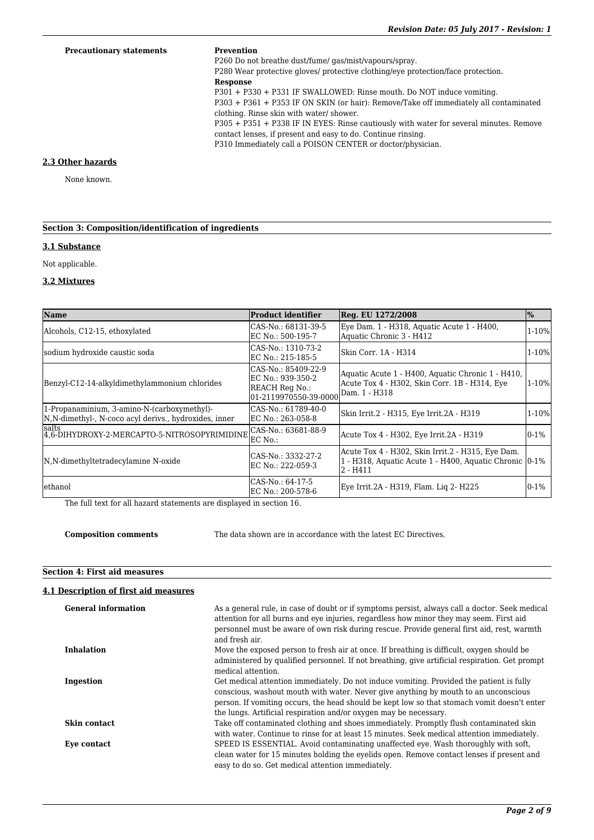#### **Precautionary statements Prevention**

P260 Do not breathe dust/fume/ gas/mist/vapours/spray.

P280 Wear protective gloves/ protective clothing/eye protection/face protection. **Response**

P301 + P330 + P331 IF SWALLOWED: Rinse mouth. Do NOT induce vomiting.

P303 + P361 + P353 IF ON SKIN (or hair): Remove/Take off immediately all contaminated clothing. Rinse skin with water/ shower.

P305 + P351 + P338 IF IN EYES: Rinse cautiously with water for several minutes. Remove contact lenses, if present and easy to do. Continue rinsing.

P310 Immediately call a POISON CENTER or doctor/physician.

### **2.3 Other hazards**

None known.

# **Section 3: Composition/identification of ingredients**

# **3.1 Substance**

Not applicable.

### **3.2 Mixtures**

| <b>Name</b>                                                                                           | <b>Product identifier</b>                                                           | Reg. EU 1272/2008                                                                                                         | $\frac{1}{2}$ |
|-------------------------------------------------------------------------------------------------------|-------------------------------------------------------------------------------------|---------------------------------------------------------------------------------------------------------------------------|---------------|
| Alcohols, C12-15, ethoxylated                                                                         | CAS-No.: 68131-39-5<br>EC No.: 500-195-7                                            | Eye Dam. 1 - H318, Aquatic Acute 1 - H400,<br>Aquatic Chronic 3 - H412                                                    | $1 - 10%$     |
| sodium hydroxide caustic soda                                                                         | CAS-No.: 1310-73-2<br>EC No.: 215-185-5                                             | lSkin Corr. 1A - H314                                                                                                     | 1-10%         |
| Benzyl-C12-14-alkyldimethylammonium chlorides                                                         | CAS-No.: 85409-22-9<br>EC No.: 939-350-2<br>REACH Reg No.:<br>01-2119970550-39-0000 | Aquatic Acute 1 - H400, Aquatic Chronic 1 - H410,<br>Acute Tox 4 - H302, Skin Corr. 1B - H314, Eye<br>Dam. 1 - H318       | $1 - 10%$     |
| 1-Propanaminium, 3-amino-N-(carboxymethyl)-<br> N,N-dimethyl-, N-coco acyl derivs., hydroxides, inner | CAS-No.: 61789-40-0<br>EC No.: 263-058-8                                            | Skin Irrit.2 - H315, Eye Irrit.2A - H319                                                                                  | 1-10%         |
| <b>Salts</b><br>4,6-DIHYDROXY-2-MERCAPTO-5-NITROSOPYRIMIDINE                                          | CAS-No.: 63681-88-9<br>EC No.:                                                      | Acute Tox 4 - H302, Eye Irrit.2A - H319                                                                                   | $0-1%$        |
| N, N-dimethyltetradecylamine N-oxide                                                                  | CAS-No.: 3332-27-2<br>EC No.: 222-059-3                                             | Acute Tox 4 - H302, Skin Irrit.2 - H315, Eye Dam.<br>1 - H318, Aquatic Acute 1 - H400, Aquatic Chronic 0-1%<br>$2 - H411$ |               |
| lethanol                                                                                              | CAS-No.: 64-17-5<br>EC No.: 200-578-6                                               | Eye Irrit.2A - H319, Flam. Lig 2- H225                                                                                    | $0-1%$        |

The full text for all hazard statements are displayed in section 16.

**Composition comments** The data shown are in accordance with the latest EC Directives.

# **Section 4: First aid measures**

# **4.1 Description of first aid measures**

| <b>General information</b> | As a general rule, in case of doubt or if symptoms persist, always call a doctor. Seek medical<br>attention for all burns and eve injuries, regardless how minor they may seem. First aid<br>personnel must be aware of own risk during rescue. Provide general first aid, rest, warmth<br>and fresh air.                                           |
|----------------------------|-----------------------------------------------------------------------------------------------------------------------------------------------------------------------------------------------------------------------------------------------------------------------------------------------------------------------------------------------------|
| <b>Inhalation</b>          | Move the exposed person to fresh air at once. If breathing is difficult, oxygen should be<br>administered by qualified personnel. If not breathing, give artificial respiration. Get prompt<br>medical attention.                                                                                                                                   |
| Ingestion                  | Get medical attention immediately. Do not induce vomiting. Provided the patient is fully<br>conscious, washout mouth with water. Never give anything by mouth to an unconscious<br>person. If vomiting occurs, the head should be kept low so that stomach vomit doesn't enter<br>the lungs. Artificial respiration and/or oxygen may be necessary. |
| <b>Skin contact</b>        | Take off contaminated clothing and shoes immediately. Promptly flush contaminated skin<br>with water. Continue to rinse for at least 15 minutes. Seek medical attention immediately.                                                                                                                                                                |
| Eye contact                | SPEED IS ESSENTIAL. Avoid contaminating unaffected eye. Wash thoroughly with soft,<br>clean water for 15 minutes holding the evelids open. Remove contact lenses if present and<br>easy to do so. Get medical attention immediately.                                                                                                                |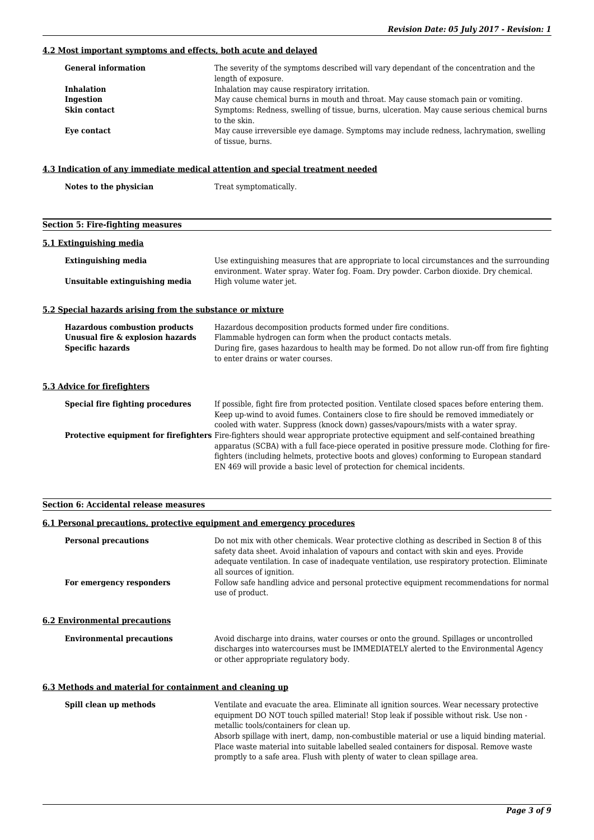# **4.2 Most important symptoms and effects, both acute and delayed**

| <b>General information</b> | The severity of the symptoms described will vary dependant of the concentration and the<br>length of exposure. |
|----------------------------|----------------------------------------------------------------------------------------------------------------|
| <b>Inhalation</b>          | Inhalation may cause respiratory irritation.                                                                   |
| Ingestion                  | May cause chemical burns in mouth and throat. May cause stomach pain or vomiting.                              |
| Skin contact               | Symptoms: Redness, swelling of tissue, burns, ulceration. May cause serious chemical burns<br>to the skin.     |
| Eye contact                | May cause irreversible eye damage. Symptoms may include redness, lachrymation, swelling<br>of tissue, burns.   |

# **4.3 Indication of any immediate medical attention and special treatment needed**

| Notes to the physician                   | Treat symptomatically. |
|------------------------------------------|------------------------|
|                                          |                        |
| <b>Section 5: Fire-fighting measures</b> |                        |
| 5.1 Extinguishing media                  |                        |

| Extinguishing media            | Use extinguishing measures that are appropriate to local circumstances and the surrounding                     |  |  |  |  |  |
|--------------------------------|----------------------------------------------------------------------------------------------------------------|--|--|--|--|--|
| Unsuitable extinguishing media | environment. Water spray. Water fog. Foam. Dry powder. Carbon dioxide. Dry chemical.<br>High volume water jet. |  |  |  |  |  |

# **5.2 Special hazards arising from the substance or mixture**

| <b>Hazardous combustion products</b><br>Unusual fire & explosion hazards<br><b>Specific hazards</b> | Hazardous decomposition products formed under fire conditions.<br>Flammable hydrogen can form when the product contacts metals.<br>During fire, gases hazardous to health may be formed. Do not allow run-off from fire fighting<br>to enter drains or water courses.                                                                                                                                          |
|-----------------------------------------------------------------------------------------------------|----------------------------------------------------------------------------------------------------------------------------------------------------------------------------------------------------------------------------------------------------------------------------------------------------------------------------------------------------------------------------------------------------------------|
| 5.3 Advice for firefighters                                                                         |                                                                                                                                                                                                                                                                                                                                                                                                                |
| Special fire fighting procedures                                                                    | If possible, fight fire from protected position. Ventilate closed spaces before entering them.<br>Keep up-wind to avoid fumes. Containers close to fire should be removed immediately or<br>cooled with water. Suppress (knock down) gasses/vapours/mists with a water spray.                                                                                                                                  |
|                                                                                                     | <b>Protective equipment for firefighters</b> Fire-fighters should wear appropriate protective equipment and self-contained breathing<br>apparatus (SCBA) with a full face-piece operated in positive pressure mode. Clothing for fire-<br>fighters (including helmets, protective boots and gloves) conforming to European standard<br>EN 469 will provide a basic level of protection for chemical incidents. |

# **Section 6: Accidental release measures**

#### **6.1 Personal precautions, protective equipment and emergency procedures**

| <b>Personal precautions</b>                              | Do not mix with other chemicals. Wear protective clothing as described in Section 8 of this<br>safety data sheet. Avoid inhalation of vapours and contact with skin and eyes. Provide<br>adequate ventilation. In case of inadequate ventilation, use respiratory protection. Eliminate<br>all sources of ignition.             |
|----------------------------------------------------------|---------------------------------------------------------------------------------------------------------------------------------------------------------------------------------------------------------------------------------------------------------------------------------------------------------------------------------|
| For emergency responders                                 | Follow safe handling advice and personal protective equipment recommendations for normal<br>use of product.                                                                                                                                                                                                                     |
| <b>6.2 Environmental precautions</b>                     |                                                                                                                                                                                                                                                                                                                                 |
| <b>Environmental precautions</b>                         | Avoid discharge into drains, water courses or onto the ground. Spillages or uncontrolled<br>discharges into watercourses must be IMMEDIATELY alerted to the Environmental Agency<br>or other appropriate regulatory body.                                                                                                       |
| 6.3 Methods and material for containment and cleaning up |                                                                                                                                                                                                                                                                                                                                 |
| Spill clean up methods                                   | Ventilate and evacuate the area. Eliminate all ignition sources. Wear necessary protective<br>equipment DO NOT touch spilled material! Stop leak if possible without risk. Use non -<br>metallic tools/containers for clean up.<br>Absorb spillage with inert, damp, non-combustible material or use a liquid binding material. |
|                                                          | Place waste material into suitable labelled sealed containers for disposal. Remove waste<br>promptly to a safe area. Flush with plenty of water to clean spillage area.                                                                                                                                                         |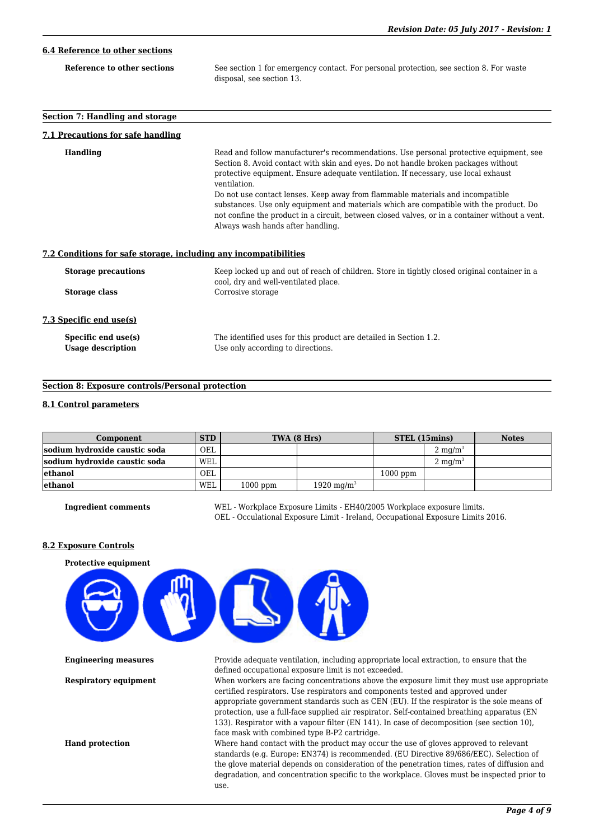# **6.4 Reference to other sections**

| Reference to other sections | See section 1 for emergency contact. For personal protection, see section 8. For waste |
|-----------------------------|----------------------------------------------------------------------------------------|
|                             | disposal, see section 13.                                                              |

#### **Section 7: Handling and storage**

#### **7.1 Precautions for safe handling**

| Handling                   | Read and follow manufacturer's recommendations. Use personal protective equipment, see<br>Section 8. Avoid contact with skin and eyes. Do not handle broken packages without<br>protective equipment. Ensure adequate ventilation. If necessary, use local exhaust<br>ventilation.<br>Do not use contact lenses. Keep away from flammable materials and incompatible<br>substances. Use only equipment and materials which are compatible with the product. Do<br>not confine the product in a circuit, between closed valves, or in a container without a vent.<br>Always wash hands after handling. |
|----------------------------|-------------------------------------------------------------------------------------------------------------------------------------------------------------------------------------------------------------------------------------------------------------------------------------------------------------------------------------------------------------------------------------------------------------------------------------------------------------------------------------------------------------------------------------------------------------------------------------------------------|
|                            | 7.2 Conditions for safe storage, including any incompatibilities                                                                                                                                                                                                                                                                                                                                                                                                                                                                                                                                      |
| <b>Storage precautions</b> | Keep locked up and out of reach of children. Store in tightly closed original container in a<br>cool, dry and well-ventilated place.                                                                                                                                                                                                                                                                                                                                                                                                                                                                  |
| Storage class              | Corrosive storage                                                                                                                                                                                                                                                                                                                                                                                                                                                                                                                                                                                     |
| 7.3 Specific end use(s)    |                                                                                                                                                                                                                                                                                                                                                                                                                                                                                                                                                                                                       |
| Specific end use(s)        | The identified uses for this product are detailed in Section 1.2.                                                                                                                                                                                                                                                                                                                                                                                                                                                                                                                                     |
| <b>Usage description</b>   | Use only according to directions.                                                                                                                                                                                                                                                                                                                                                                                                                                                                                                                                                                     |

# **Section 8: Exposure controls/Personal protection**

#### **8.1 Control parameters**

| Component                     | <b>STD</b> | TWA (8 Hrs) |                        | STEL (15mins) |                    | <b>Notes</b> |
|-------------------------------|------------|-------------|------------------------|---------------|--------------------|--------------|
| sodium hydroxide caustic soda | OEL        |             |                        |               | $2 \text{ mg/m}^3$ |              |
| sodium hydroxide caustic soda | WEL        |             |                        |               | $2 \text{ mg/m}^3$ |              |
| lethanol                      | OEL        |             |                        | $1000$ ppm    |                    |              |
| lethanol                      | WEL        | $1000$ ppm  | 1920 mg/m <sup>3</sup> |               |                    |              |

**Ingredient comments** WEL - Workplace Exposure Limits - EH40/2005 Workplace exposure limits. OEL - Occulational Exposure Limit - Ireland, Occupational Exposure Limits 2016.

#### **8.2 Exposure Controls**



**Engineering measures** Provide adequate ventilation, including appropriate local extraction, to ensure that the defined occupational exposure limit is not exceeded.

**Respiratory equipment** When workers are facing concentrations above the exposure limit they must use appropriate certified respirators. Use respirators and components tested and approved under appropriate government standards such as CEN (EU). If the respirator is the sole means of protection, use a full-face supplied air respirator. Self-contained breathing apparatus (EN 133). Respirator with a vapour filter (EN 141). In case of decomposition (see section 10), face mask with combined type B-P2 cartridge.

**Hand protection** Where hand contact with the product may occur the use of gloves approved to relevant standards (e.g. Europe: EN374) is recommended. (EU Directive 89/686/EEC). Selection of the glove material depends on consideration of the penetration times, rates of diffusion and degradation, and concentration specific to the workplace. Gloves must be inspected prior to use.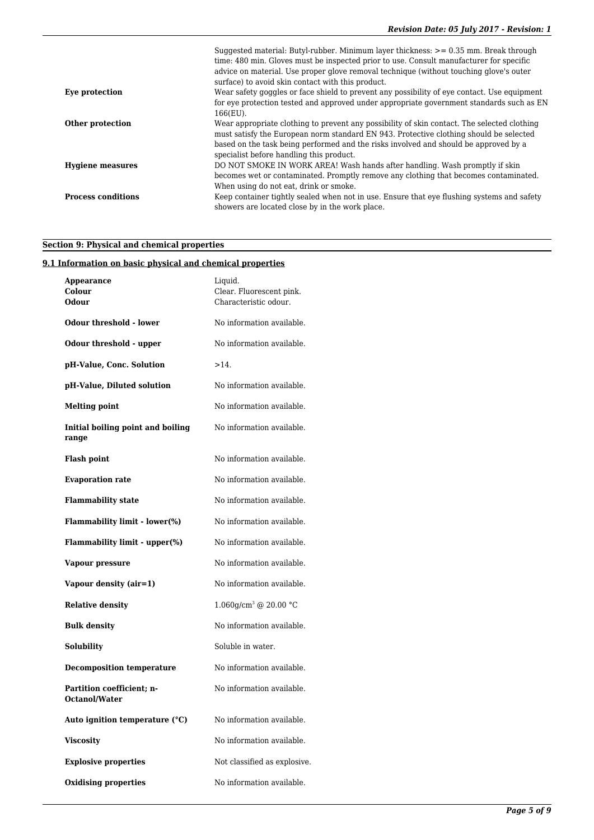|                           | Suggested material: Butyl-rubber. Minimum layer thickness: $> = 0.35$ mm. Break through<br>time: 480 min. Gloves must be inspected prior to use. Consult manufacturer for specific<br>advice on material. Use proper glove removal technique (without touching glove's outer<br>surface) to avoid skin contact with this product. |
|---------------------------|-----------------------------------------------------------------------------------------------------------------------------------------------------------------------------------------------------------------------------------------------------------------------------------------------------------------------------------|
| Eye protection            | Wear safety goggles or face shield to prevent any possibility of eye contact. Use equipment<br>for eye protection tested and approved under appropriate government standards such as EN<br>$166(EU)$ .                                                                                                                            |
| Other protection          | Wear appropriate clothing to prevent any possibility of skin contact. The selected clothing<br>must satisfy the European norm standard EN 943. Protective clothing should be selected<br>based on the task being performed and the risks involved and should be approved by a<br>specialist before handling this product.         |
| <b>Hygiene measures</b>   | DO NOT SMOKE IN WORK AREA! Wash hands after handling. Wash promptly if skin<br>becomes wet or contaminated. Promptly remove any clothing that becomes contaminated.<br>When using do not eat, drink or smoke.                                                                                                                     |
| <b>Process conditions</b> | Keep container tightly sealed when not in use. Ensure that eye flushing systems and safety<br>showers are located close by in the work place.                                                                                                                                                                                     |

# **Section 9: Physical and chemical properties**

# **9.1 Information on basic physical and chemical properties**

| Appearance<br>Colour<br><b>Odour</b>       | Liquid.<br>Clear. Fluorescent pink.<br>Characteristic odour. |
|--------------------------------------------|--------------------------------------------------------------|
| <b>Odour threshold - lower</b>             | No information available.                                    |
| Odour threshold - upper                    | No information available.                                    |
| pH-Value, Conc. Solution                   | $>14$ .                                                      |
| pH-Value, Diluted solution                 | No information available.                                    |
| <b>Melting point</b>                       | No information available.                                    |
| Initial boiling point and boiling<br>range | No information available.                                    |
| <b>Flash point</b>                         | No information available.                                    |
| <b>Evaporation rate</b>                    | No information available.                                    |
| <b>Flammability state</b>                  | No information available.                                    |
| <b>Flammability limit - lower(%)</b>       | No information available.                                    |
| Flammability limit - upper(%)              | No information available.                                    |
| Vapour pressure                            | No information available.                                    |
| Vapour density (air=1)                     | No information available.                                    |
| <b>Relative density</b>                    | $1.060$ g/cm <sup>3</sup> @ 20.00 °C                         |
| <b>Bulk density</b>                        | No information available.                                    |
| <b>Solubility</b>                          | Soluble in water.                                            |
| <b>Decomposition temperature</b>           | No information available.                                    |
| Partition coefficient; n-<br>Octanol/Water | No information available.                                    |
| Auto ignition temperature $(^{\circ}C)$    | No information available.                                    |
| <b>Viscosity</b>                           | No information available.                                    |
| <b>Explosive properties</b>                | Not classified as explosive.                                 |
| <b>Oxidising properties</b>                | No information available.                                    |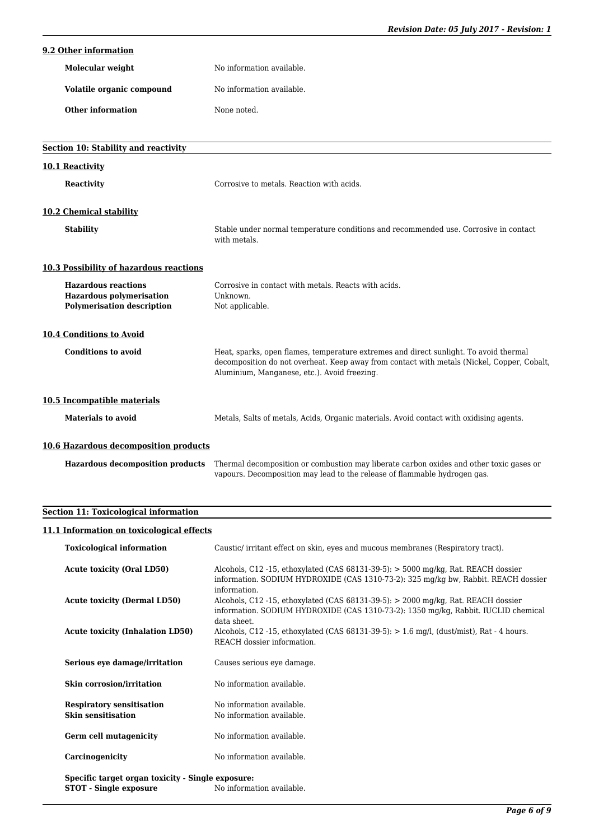# **9.2 Other information**

| Molecular weight          | No information available. |
|---------------------------|---------------------------|
| Volatile organic compound | No information available. |
| Other information         | None noted.               |

| Section 10: Stability and reactivity                                                               |                                                                                                                                                                                                                                     |
|----------------------------------------------------------------------------------------------------|-------------------------------------------------------------------------------------------------------------------------------------------------------------------------------------------------------------------------------------|
| 10.1 Reactivity                                                                                    |                                                                                                                                                                                                                                     |
| <b>Reactivity</b>                                                                                  | Corrosive to metals. Reaction with acids.                                                                                                                                                                                           |
| 10.2 Chemical stability                                                                            |                                                                                                                                                                                                                                     |
| <b>Stability</b>                                                                                   | Stable under normal temperature conditions and recommended use. Corrosive in contact<br>with metals.                                                                                                                                |
| <b>10.3 Possibility of hazardous reactions</b>                                                     |                                                                                                                                                                                                                                     |
| <b>Hazardous reactions</b><br><b>Hazardous polymerisation</b><br><b>Polymerisation description</b> | Corrosive in contact with metals. Reacts with acids.<br>Unknown.<br>Not applicable.                                                                                                                                                 |
| <b>10.4 Conditions to Avoid</b>                                                                    |                                                                                                                                                                                                                                     |
| <b>Conditions to avoid</b>                                                                         | Heat, sparks, open flames, temperature extremes and direct sunlight. To avoid thermal<br>decomposition do not overheat. Keep away from contact with metals (Nickel, Copper, Cobalt,<br>Aluminium, Manganese, etc.). Avoid freezing. |
| 10.5 Incompatible materials                                                                        |                                                                                                                                                                                                                                     |
| <b>Materials to avoid</b>                                                                          | Metals, Salts of metals, Acids, Organic materials. Avoid contact with oxidising agents.                                                                                                                                             |
| 10.6 Hazardous decomposition products                                                              |                                                                                                                                                                                                                                     |
|                                                                                                    | Hazardous decomposition products Thermal decomposition or combustion may liberate carbon oxides and other toxic gases or                                                                                                            |

vapours. Decomposition may lead to the release of flammable hydrogen gas.

# **Section 11: Toxicological information**

# **11.1 Information on toxicological effects**

| <b>Toxicological information</b>                                                   | Caustic/ irritant effect on skin, eyes and mucous membranes (Respiratory tract).                                                                                                                      |
|------------------------------------------------------------------------------------|-------------------------------------------------------------------------------------------------------------------------------------------------------------------------------------------------------|
| <b>Acute toxicity (Oral LD50)</b>                                                  | Alcohols, C12 -15, ethoxylated (CAS $68131-39-5$ ): $> 5000 \text{ mg/kg}$ , Rat. REACH dossier<br>information. SODIUM HYDROXIDE (CAS 1310-73-2): 325 mg/kg bw, Rabbit. REACH dossier<br>information. |
| <b>Acute toxicity (Dermal LD50)</b>                                                | Alcohols, C12 -15, ethoxylated (CAS 68131-39-5): $>$ 2000 mg/kg, Rat. REACH dossier<br>information. SODIUM HYDROXIDE (CAS 1310-73-2): 1350 mg/kg, Rabbit. IUCLID chemical<br>data sheet.              |
| <b>Acute toxicity (Inhalation LD50)</b>                                            | Alcohols, C12 -15, ethoxylated (CAS $68131-39-5$ ): $> 1.6$ mg/l, (dust/mist), Rat - 4 hours.<br>REACH dossier information.                                                                           |
| Serious eye damage/irritation                                                      | Causes serious eye damage.                                                                                                                                                                            |
| Skin corrosion/irritation                                                          | No information available.                                                                                                                                                                             |
| <b>Respiratory sensitisation</b><br><b>Skin sensitisation</b>                      | No information available.<br>No information available.                                                                                                                                                |
| Germ cell mutagenicity                                                             | No information available.                                                                                                                                                                             |
| Carcinogenicity                                                                    | No information available.                                                                                                                                                                             |
| Specific target organ toxicity - Single exposure:<br><b>STOT</b> - Single exposure | No information available.                                                                                                                                                                             |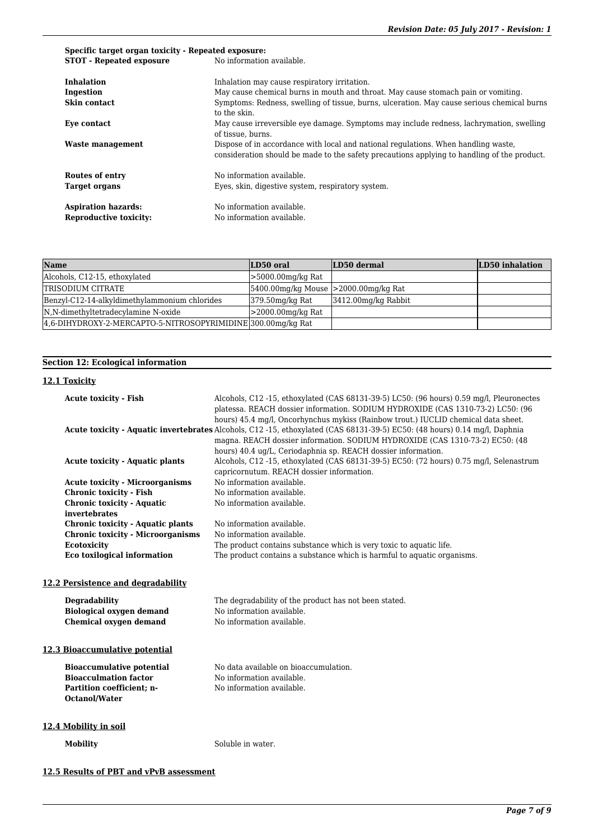# **Specific target organ toxicity - Repeated exposure: STOT - Repeated exposure** No information available. **Inhalation** Inhalation may cause respiratory irritation. **Ingestion** May cause chemical burns in mouth and throat. May cause stomach pain or vomiting. Skin contact Symptoms: Redness, swelling of tissue, burns, ulceration. May cause serious chemical burns to the skin. **Eye contact** May cause irreversible eye damage. Symptoms may include redness, lachrymation, swelling of tissue, burns. **Waste management** Dispose of in accordance with local and national regulations. When handling waste, consideration should be made to the safety precautions applying to handling of the product. **Routes of entry** No information available. Target organs **Eyes**, skin, digestive system, respiratory system. Aspiration hazards: No information available. **Reproductive toxicity:** No information available.

| Name                                                          | LD50 oral                                       | LD50 dermal            | LD50 inhalation |
|---------------------------------------------------------------|-------------------------------------------------|------------------------|-----------------|
| Alcohols, C12-15, ethoxylated                                 | $>5000.00$ mg/kg Rat                            |                        |                 |
| <b>TRISODIUM CITRATE</b>                                      | $[5400.00$ mg/kg Mouse $\geq 2000.00$ mg/kg Rat |                        |                 |
| Benzyl-C12-14-alkyldimethylammonium chlorides                 | $379.50$ mg/kg Rat                              | $3412.00$ mg/kg Rabbit |                 |
| N,N-dimethyltetradecylamine N-oxide                           | $>$ 2000.00mg/kg Rat                            |                        |                 |
| [4,6-DIHYDROXY-2-MERCAPTO-5-NITROSOPYRIMIDINE]300.00mg/kg Rat |                                                 |                        |                 |

# **Section 12: Ecological information**

#### **12.1 Toxicity**

| <b>Acute toxicity - Fish</b>             | Alcohols, C12 -15, ethoxylated (CAS 68131-39-5) LC50: (96 hours) 0.59 mg/l, Pleuronectes                                                                                                                                                                                                                                                                                                                                                             |
|------------------------------------------|------------------------------------------------------------------------------------------------------------------------------------------------------------------------------------------------------------------------------------------------------------------------------------------------------------------------------------------------------------------------------------------------------------------------------------------------------|
|                                          | platessa. REACH dossier information. SODIUM HYDROXIDE (CAS 1310-73-2) LC50: (96<br>hours) 45.4 mg/l, Oncorhynchus mykiss (Rainbow trout.) IUCLID chemical data sheet.<br>Acute toxicity - Aquatic invertebrates Alcohols, C12 -15, ethoxylated (CAS 68131-39-5) EC50: (48 hours) 0.14 mg/l, Daphnia<br>magna. REACH dossier information. SODIUM HYDROXIDE (CAS 1310-73-2) EC50: (48<br>hours) 40.4 ug/L, Ceriodaphnia sp. REACH dossier information. |
| <b>Acute toxicity - Aquatic plants</b>   | Alcohols, C12 -15, ethoxylated (CAS 68131-39-5) EC50: (72 hours) 0.75 mg/l, Selenastrum                                                                                                                                                                                                                                                                                                                                                              |
|                                          | capricornutum. REACH dossier information.                                                                                                                                                                                                                                                                                                                                                                                                            |
| <b>Acute toxicity - Microorganisms</b>   | No information available.                                                                                                                                                                                                                                                                                                                                                                                                                            |
| <b>Chronic toxicity - Fish</b>           | No information available.                                                                                                                                                                                                                                                                                                                                                                                                                            |
| <b>Chronic toxicity - Aquatic</b>        | No information available.                                                                                                                                                                                                                                                                                                                                                                                                                            |
| invertebrates                            |                                                                                                                                                                                                                                                                                                                                                                                                                                                      |
| Chronic toxicity - Aquatic plants        | No information available.                                                                                                                                                                                                                                                                                                                                                                                                                            |
| <b>Chronic toxicity - Microorganisms</b> | No information available.                                                                                                                                                                                                                                                                                                                                                                                                                            |
| Ecotoxicity                              | The product contains substance which is very toxic to aquatic life.                                                                                                                                                                                                                                                                                                                                                                                  |
| <b>Eco toxilogical information</b>       | The product contains a substance which is harmful to aquatic organisms.                                                                                                                                                                                                                                                                                                                                                                              |
|                                          |                                                                                                                                                                                                                                                                                                                                                                                                                                                      |
| 12.2 Persistence and degradability       |                                                                                                                                                                                                                                                                                                                                                                                                                                                      |
| <b>Degradability</b>                     | The degradability of the product has not been stated.                                                                                                                                                                                                                                                                                                                                                                                                |
| <b>Biological oxygen demand</b>          | No information available.                                                                                                                                                                                                                                                                                                                                                                                                                            |
| <b>Chemical oxygen demand</b>            | No information available.                                                                                                                                                                                                                                                                                                                                                                                                                            |
|                                          |                                                                                                                                                                                                                                                                                                                                                                                                                                                      |
| 12.3 Bioaccumulative potential           |                                                                                                                                                                                                                                                                                                                                                                                                                                                      |
| <b>Bioaccumulative potential</b>         | No data available on bioaccumulation.                                                                                                                                                                                                                                                                                                                                                                                                                |
| <b>Bioacculmation factor</b>             | No information available.                                                                                                                                                                                                                                                                                                                                                                                                                            |
| Partition coefficient; n-                | No information available.                                                                                                                                                                                                                                                                                                                                                                                                                            |
| <b>Octanol/Water</b>                     |                                                                                                                                                                                                                                                                                                                                                                                                                                                      |
|                                          |                                                                                                                                                                                                                                                                                                                                                                                                                                                      |
| 12.4 Mobility in soil                    |                                                                                                                                                                                                                                                                                                                                                                                                                                                      |
|                                          |                                                                                                                                                                                                                                                                                                                                                                                                                                                      |
| <b>Mobility</b>                          | Soluble in water.                                                                                                                                                                                                                                                                                                                                                                                                                                    |
|                                          |                                                                                                                                                                                                                                                                                                                                                                                                                                                      |
|                                          |                                                                                                                                                                                                                                                                                                                                                                                                                                                      |

#### **12.5 Results of PBT and vPvB assessment**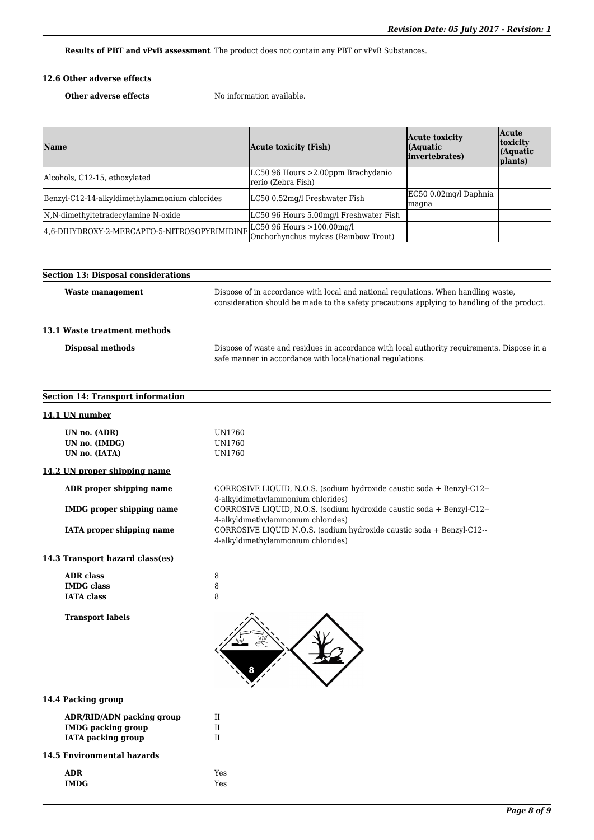**Results of PBT and vPvB assessment** The product does not contain any PBT or vPvB Substances.

# **12.6 Other adverse effects**

**Other adverse effects** No information available.

| <b>Name</b>                                   | Acute toxicity (Fish)                                                | Acute toxicity<br>(Aquatic<br>invertebrates) | <b>Acute</b><br><i>toxicity</i><br>$\int (Aquatic)$<br>plants) |
|-----------------------------------------------|----------------------------------------------------------------------|----------------------------------------------|----------------------------------------------------------------|
| Alcohols, C12-15, ethoxylated                 | LC50 96 Hours > 2.00ppm Brachydanio<br>rerio (Zebra Fish)            |                                              |                                                                |
| Benzyl-C12-14-alkyldimethylammonium chlorides | LC50 0.52mg/l Freshwater Fish                                        | EC50 0.02mg/l Daphnia<br>magna               |                                                                |
| N,N-dimethyltetradecylamine N-oxide           | LC50 96 Hours 5.00mg/l Freshwater Fish                               |                                              |                                                                |
| 4,6-DIHYDROXY-2-MERCAPTO-5-NITROSOPYRIMIDINE  | LC50 96 Hours $>100.00$ mg/l<br>Onchorhynchus mykiss (Rainbow Trout) |                                              |                                                                |

| <b>Section 13: Disposal considerations</b>     |                                                                                                                                                                                   |
|------------------------------------------------|-----------------------------------------------------------------------------------------------------------------------------------------------------------------------------------|
| <b>Waste management</b>                        | Dispose of in accordance with local and national regulations. When handling waste,<br>consideration should be made to the safety precautions applying to handling of the product. |
| 13.1 Waste treatment methods                   |                                                                                                                                                                                   |
| Disposal methods                               | Dispose of waste and residues in accordance with local authority requirements. Dispose in a<br>safe manner in accordance with local/national regulations.                         |
| <b>Section 14: Transport information</b>       |                                                                                                                                                                                   |
| 14.1 UN number                                 |                                                                                                                                                                                   |
| UN no. (ADR)<br>UN no. (IMDG)<br>UN no. (IATA) | UN1760<br>UN1760<br>UN1760                                                                                                                                                        |
| 14.2 UN proper shipping name                   |                                                                                                                                                                                   |
| ADR proper shipping name                       | CORROSIVE LIQUID, N.O.S. (sodium hydroxide caustic soda + Benzyl-C12--<br>4-alkyldimethylammonium chlorides)                                                                      |
| <b>IMDG</b> proper shipping name               | CORROSIVE LIQUID, N.O.S. (sodium hydroxide caustic soda + Benzyl-C12--<br>4-alkyldimethylammonium chlorides)                                                                      |
| <b>IATA</b> proper shipping name               | CORROSIVE LIQUID N.O.S. (sodium hydroxide caustic soda + Benzyl-C12--<br>4-alkyldimethylammonium chlorides)                                                                       |
| 14.3 Transport hazard class(es)                |                                                                                                                                                                                   |

| <b>ADR</b> class  |  |
|-------------------|--|
| <b>IMDG</b> class |  |
| <b>IATA class</b> |  |

**Transport labels**



### **14.4 Packing group**

| ADR/RID/ADN packing group |   |
|---------------------------|---|
| <b>IMDG</b> packing group | Н |
| IATA packing group        |   |

# **14.5 Environmental hazards**

| <b>ADR</b>  | Yes |
|-------------|-----|
| <b>IMDG</b> | Yes |